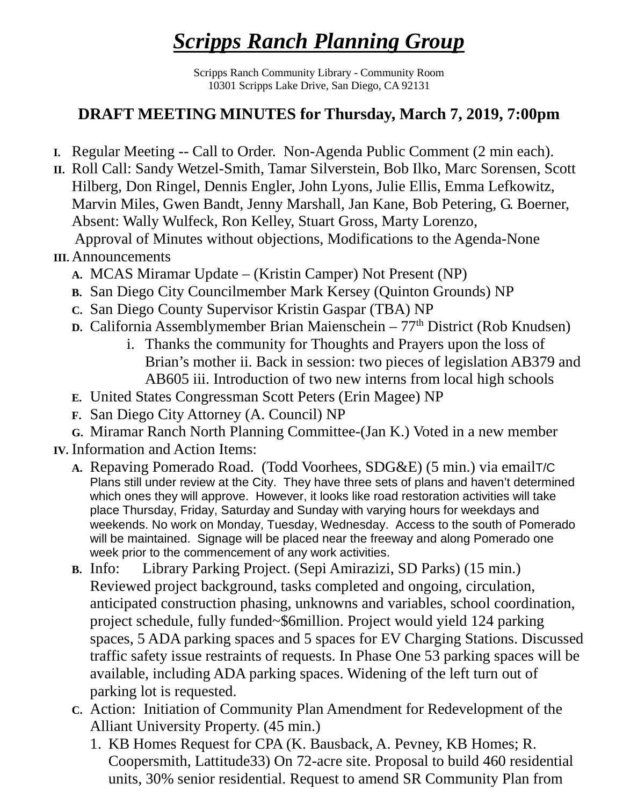## *Scripps Ranch Planning Group*

Scripps Ranch Community Library - Community Room 10301 Scripps Lake Drive, San Diego, CA 92131

## **DRAFT MEETING MINUTES for Thursday, March 7, 2019, 7:00pm**

- **I.** Regular Meeting -- Call to Order. Non-Agenda Public Comment (2 min each).
- **II.** Roll Call: Sandy Wetzel-Smith, Tamar Silverstein, Bob Ilko, Marc Sorensen, Scott Hilberg, Don Ringel, Dennis Engler, John Lyons, Julie Ellis, Emma Lefkowitz, Marvin Miles, Gwen Bandt, Jenny Marshall, Jan Kane, Bob Petering, G. Boerner, Absent: Wally Wulfeck, Ron Kelley, Stuart Gross, Marty Lorenzo, Approval of Minutes without objections, Modifications to the Agenda-None

## **III.** Announcements

- **A.** MCAS Miramar Update (Kristin Camper) Not Present (NP)
- **B.** San Diego City Councilmember Mark Kersey (Quinton Grounds) NP
- **C.** San Diego County Supervisor Kristin Gaspar (TBA) NP
- **D.** California Assemblymember Brian Maienschein 77<sup>th</sup> District (Rob Knudsen)
	- i. Thanks the community for Thoughts and Prayers upon the loss of Brian's mother ii. Back in session: two pieces of legislation AB379 and AB605 iii. Introduction of two new interns from local high schools
- **E.** United States Congressman Scott Peters (Erin Magee) NP
- **F.** San Diego City Attorney (A. Council) NP
- **G.** Miramar Ranch North Planning Committee-(Jan K.) Voted in a new member
- **IV.** Information and Action Items:
	- **A.** Repaving Pomerado Road. (Todd Voorhees, SDG&E) (5 min.) via emailT/C Plans still under review at the City. They have three sets of plans and haven't determined which ones they will approve. However, it looks like road restoration activities will take place Thursday, Friday, Saturday and Sunday with varying hours for weekdays and weekends. No work on Monday, Tuesday, Wednesday. Access to the south of Pomerado will be maintained. Signage will be placed near the freeway and along Pomerado one week prior to the commencement of any work activities.
	- **B.** Info: Library Parking Project. (Sepi Amirazizi, SD Parks) (15 min.) Reviewed project background, tasks completed and ongoing, circulation, anticipated construction phasing, unknowns and variables, school coordination, project schedule, fully funded~\$6million. Project would yield 124 parking spaces, 5 ADA parking spaces and 5 spaces for EV Charging Stations. Discussed traffic safety issue restraints of requests. In Phase One 53 parking spaces will be available, including ADA parking spaces. Widening of the left turn out of parking lot is requested.
	- **C.** Action: Initiation of Community Plan Amendment for Redevelopment of the Alliant University Property. (45 min.)
		- 1. KB Homes Request for CPA (K. Bausback, A. Pevney, KB Homes; R. Coopersmith, Lattitude33) On 72-acre site. Proposal to build 460 residential units, 30% senior residential. Request to amend SR Community Plan from